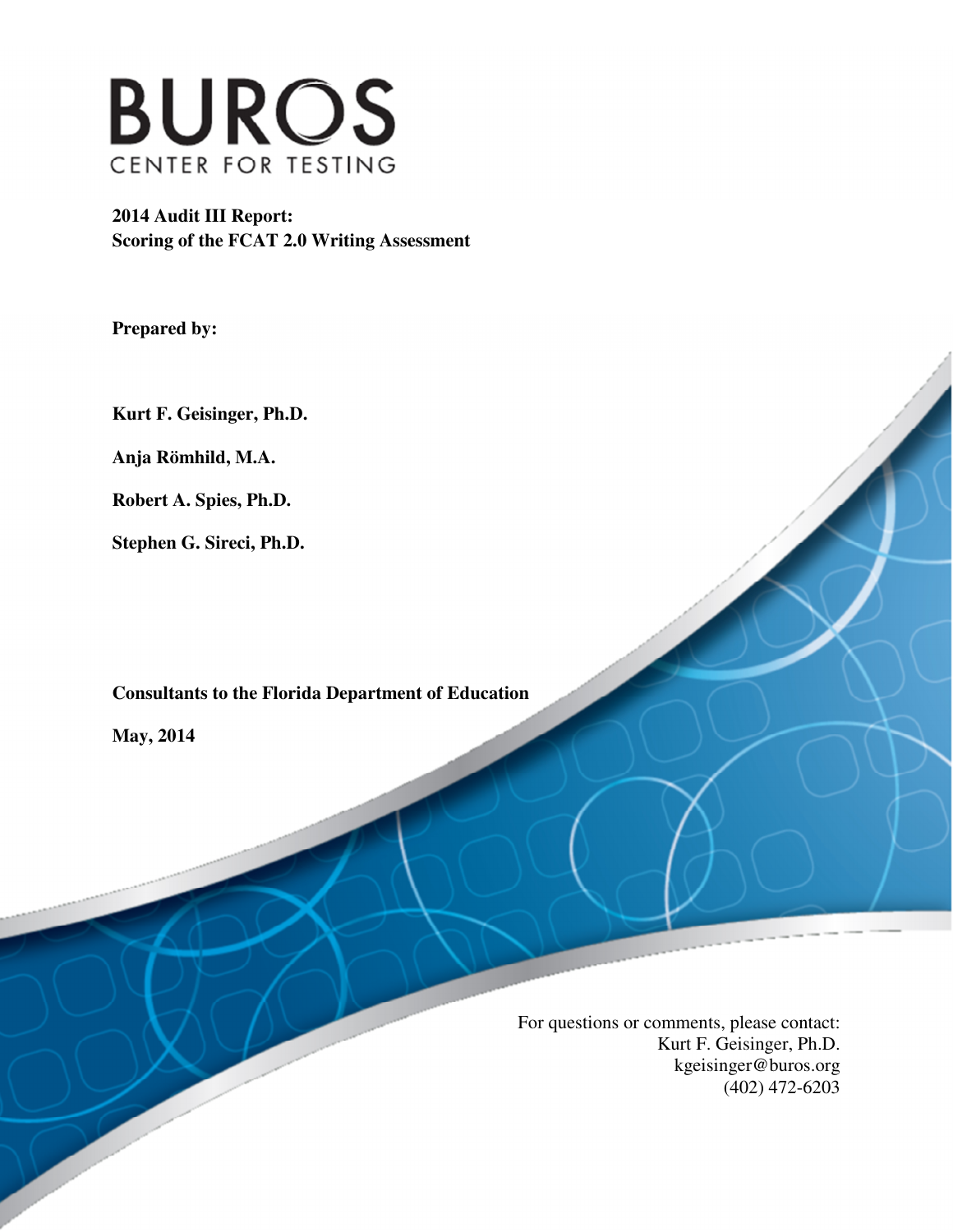

 **2014 Audit III Report: Scoring of the FCAT 2.0 Writing Assessment** 

 **Prepared by:** 

 **Kurt F. Geisinger, Ph.D.** 

 **Anja Römhild, M.A.** 

 **Robert A. Spies, Ph.D.** 

 **Stephen G. Sireci, Ph.D.** 

 **Consultants to the Florida Department of Education** 

 **May, 2014** 

 For questions or comments, please contact: Kurt F. Geisinger, Ph.D. (402) 472-6203 kgeisinger@buros.org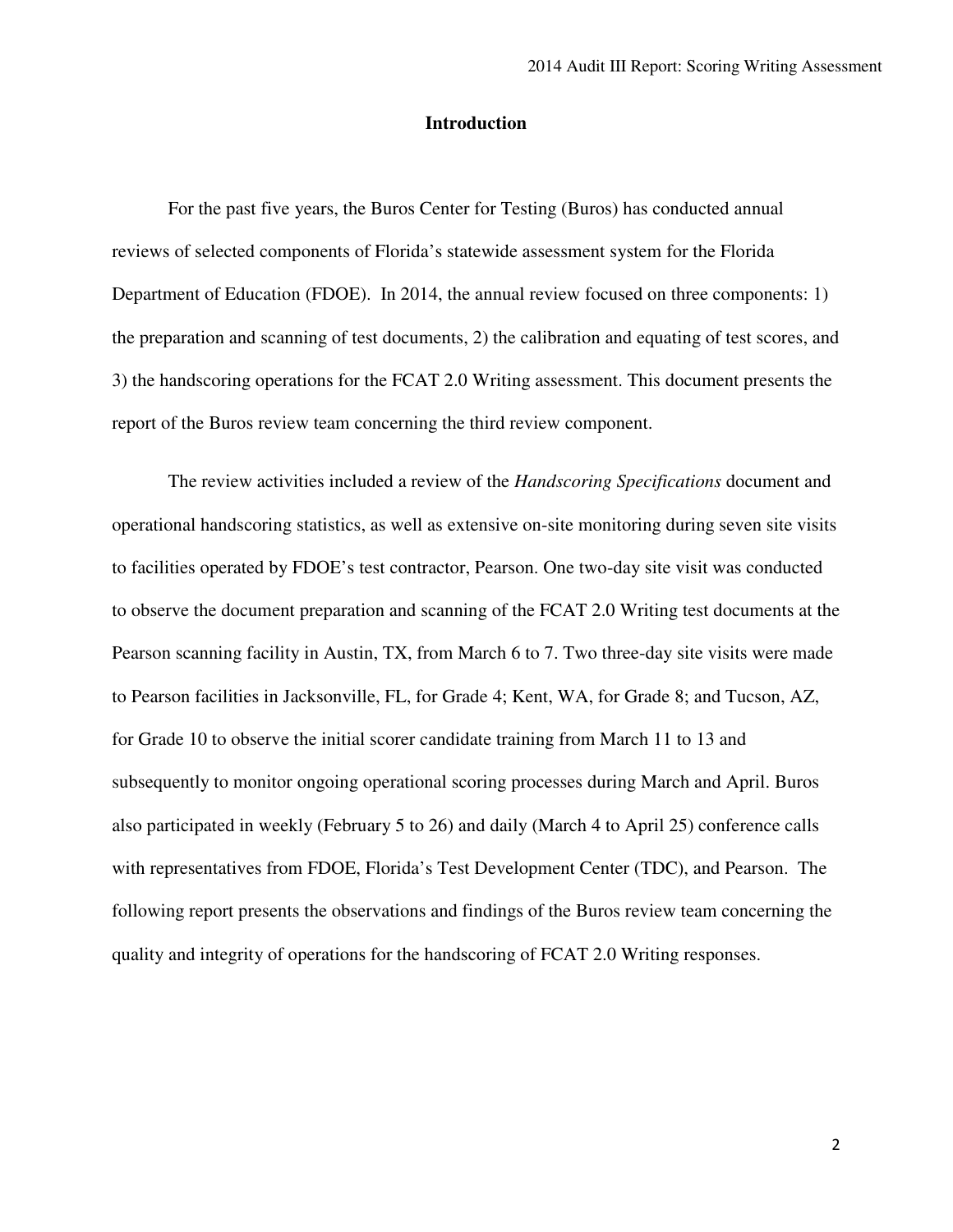# **Introduction**

 For the past five years, the Buros Center for Testing (Buros) has conducted annual reviews of selected components of Florida's statewide assessment system for the Florida Department of Education (FDOE). In 2014, the annual review focused on three components: 1) the preparation and scanning of test documents, 2) the calibration and equating of test scores, and 3) the handscoring operations for the FCAT 2.0 Writing assessment. This document presents the report of the Buros review team concerning the third review component.

 The review activities included a review of the *Handscoring Specifications* document and operational handscoring statistics, as well as extensive on-site monitoring during seven site visits to facilities operated by FDOE's test contractor, Pearson. One two-day site visit was conducted to observe the document preparation and scanning of the FCAT 2.0 Writing test documents at the Pearson scanning facility in Austin, TX, from March 6 to 7. Two three-day site visits were made to Pearson facilities in Jacksonville, FL, for Grade 4; Kent, WA, for Grade 8; and Tucson, AZ, for Grade 10 to observe the initial scorer candidate training from March 11 to 13 and subsequently to monitor ongoing operational scoring processes during March and April. Buros also participated in weekly (February 5 to 26) and daily (March 4 to April 25) conference calls with representatives from FDOE, Florida's Test Development Center (TDC), and Pearson. The following report presents the observations and findings of the Buros review team concerning the quality and integrity of operations for the handscoring of FCAT 2.0 Writing responses.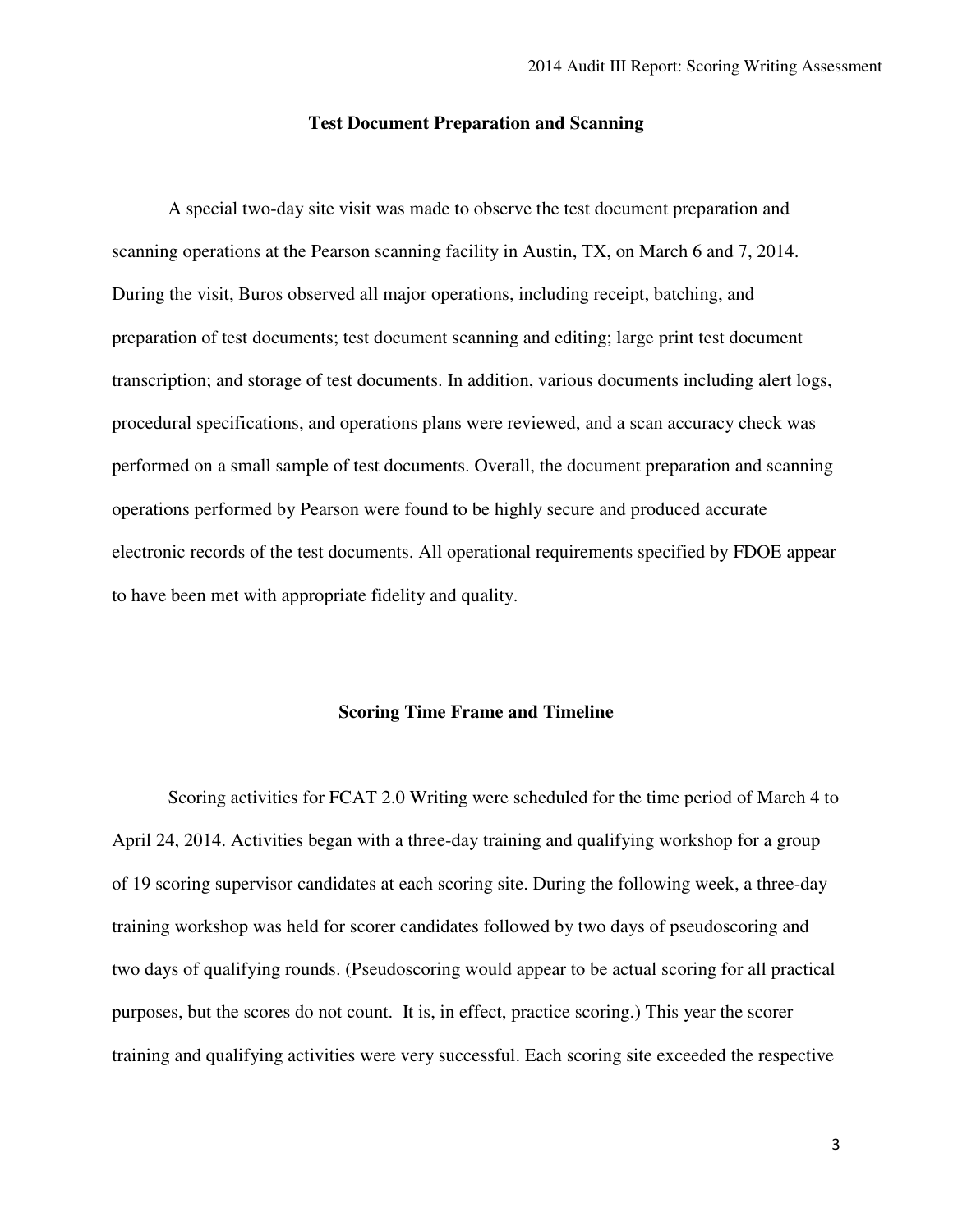### **Test Document Preparation and Scanning**

 A special two-day site visit was made to observe the test document preparation and scanning operations at the Pearson scanning facility in Austin, TX, on March 6 and 7, 2014. During the visit, Buros observed all major operations, including receipt, batching, and preparation of test documents; test document scanning and editing; large print test document transcription; and storage of test documents. In addition, various documents including alert logs, procedural specifications, and operations plans were reviewed, and a scan accuracy check was performed on a small sample of test documents. Overall, the document preparation and scanning operations performed by Pearson were found to be highly secure and produced accurate electronic records of the test documents. All operational requirements specified by FDOE appear to have been met with appropriate fidelity and quality.

### **Scoring Time Frame and Timeline**

 Scoring activities for FCAT 2.0 Writing were scheduled for the time period of March 4 to April 24, 2014. Activities began with a three-day training and qualifying workshop for a group of 19 scoring supervisor candidates at each scoring site. During the following week, a three-day training workshop was held for scorer candidates followed by two days of pseudoscoring and two days of qualifying rounds. (Pseudoscoring would appear to be actual scoring for all practical purposes, but the scores do not count. It is, in effect, practice scoring.) This year the scorer training and qualifying activities were very successful. Each scoring site exceeded the respective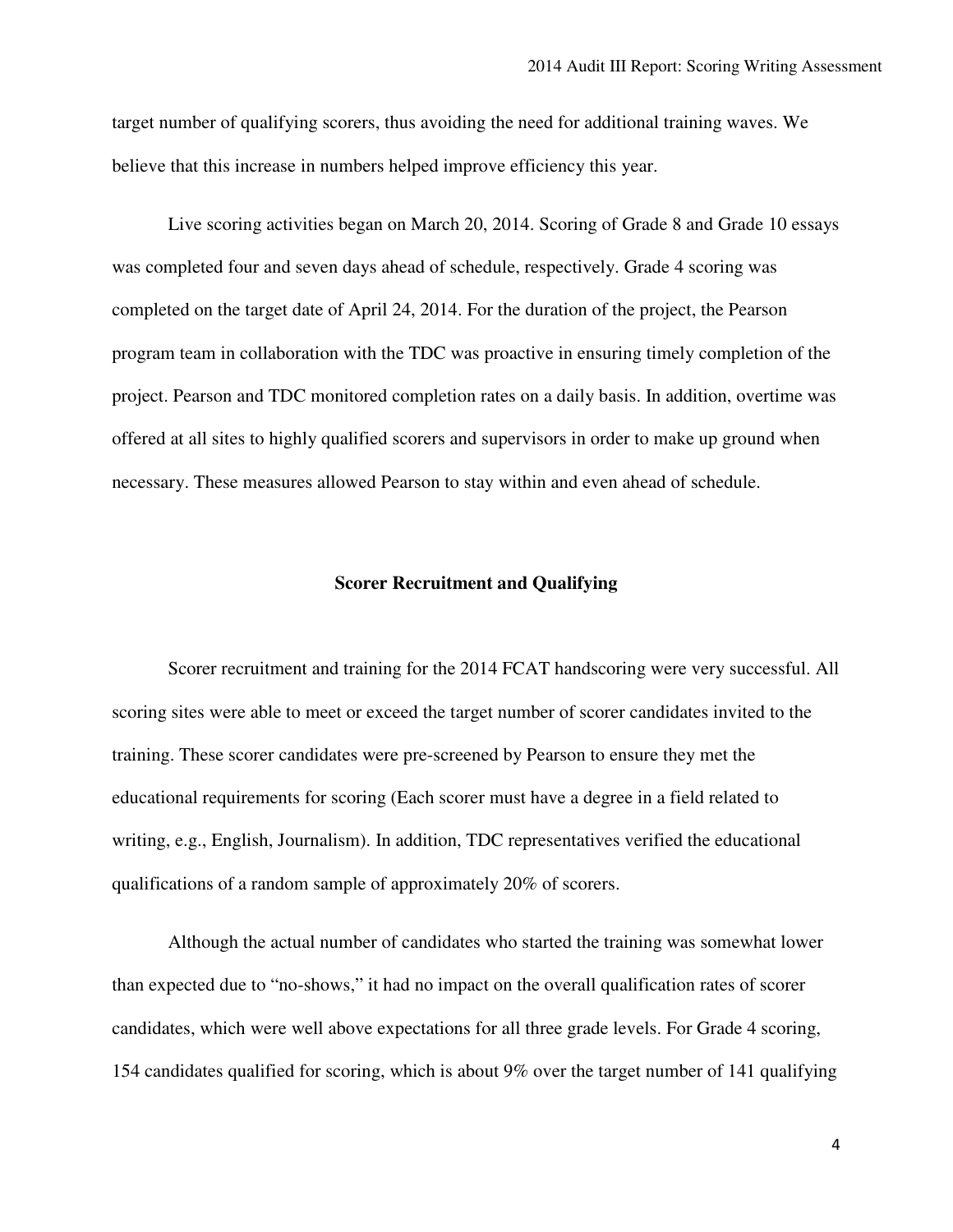target number of qualifying scorers, thus avoiding the need for additional training waves. We believe that this increase in numbers helped improve efficiency this year.

 Live scoring activities began on March 20, 2014. Scoring of Grade 8 and Grade 10 essays was completed four and seven days ahead of schedule, respectively. Grade 4 scoring was completed on the target date of April 24, 2014. For the duration of the project, the Pearson program team in collaboration with the TDC was proactive in ensuring timely completion of the project. Pearson and TDC monitored completion rates on a daily basis. In addition, overtime was offered at all sites to highly qualified scorers and supervisors in order to make up ground when necessary. These measures allowed Pearson to stay within and even ahead of schedule.

### **Scorer Recruitment and Qualifying**

 Scorer recruitment and training for the 2014 FCAT handscoring were very successful. All scoring sites were able to meet or exceed the target number of scorer candidates invited to the training. These scorer candidates were pre-screened by Pearson to ensure they met the educational requirements for scoring (Each scorer must have a degree in a field related to writing, e.g., English, Journalism). In addition, TDC representatives verified the educational qualifications of a random sample of approximately 20% of scorers.

 Although the actual number of candidates who started the training was somewhat lower than expected due to "no-shows," it had no impact on the overall qualification rates of scorer candidates, which were well above expectations for all three grade levels. For Grade 4 scoring, 154 candidates qualified for scoring, which is about 9% over the target number of 141 qualifying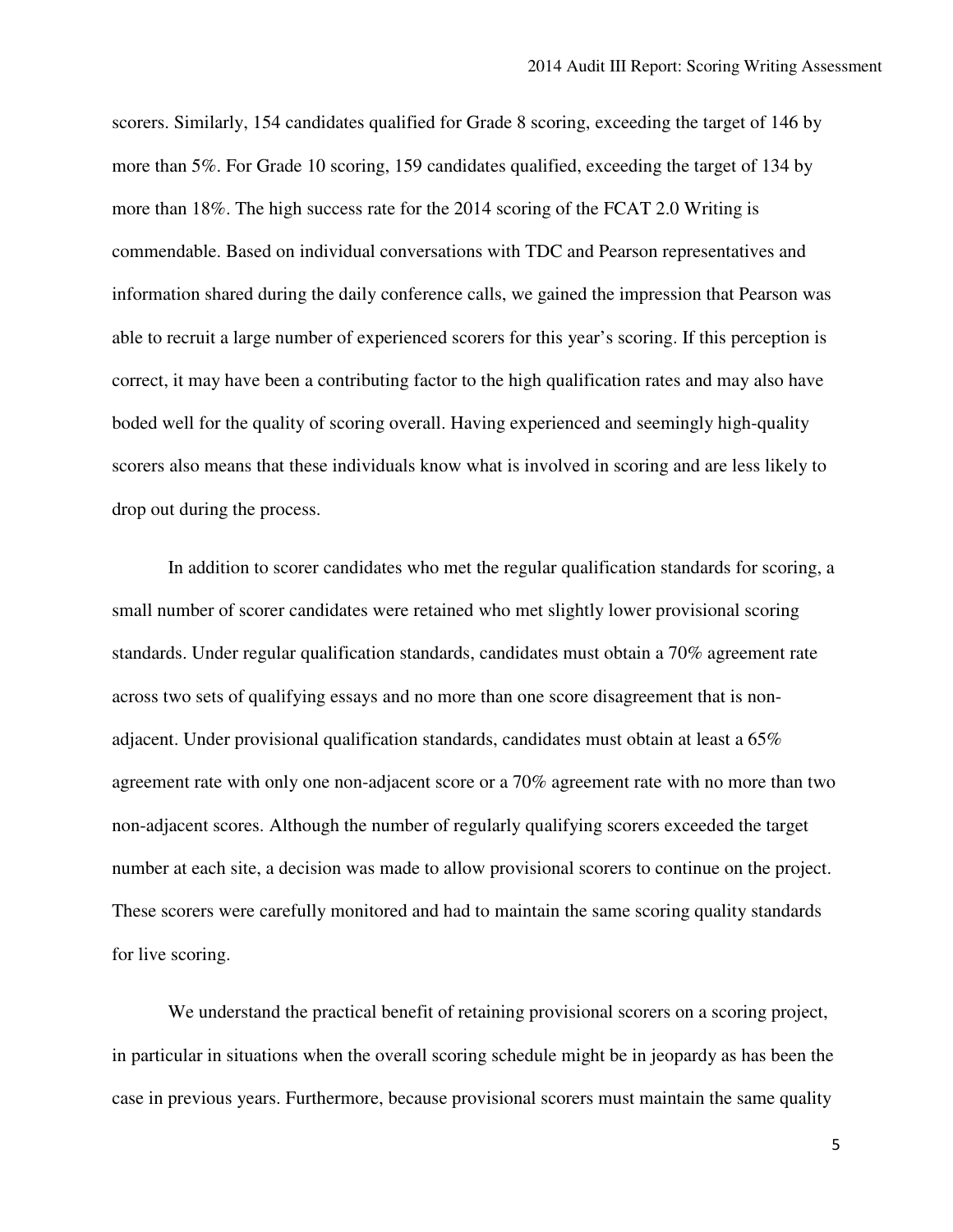scorers. Similarly, 154 candidates qualified for Grade 8 scoring, exceeding the target of 146 by more than 5%. For Grade 10 scoring, 159 candidates qualified, exceeding the target of 134 by more than 18%. The high success rate for the 2014 scoring of the FCAT 2.0 Writing is commendable. Based on individual conversations with TDC and Pearson representatives and information shared during the daily conference calls, we gained the impression that Pearson was able to recruit a large number of experienced scorers for this year's scoring. If this perception is correct, it may have been a contributing factor to the high qualification rates and may also have boded well for the quality of scoring overall. Having experienced and seemingly high-quality scorers also means that these individuals know what is involved in scoring and are less likely to drop out during the process.

 In addition to scorer candidates who met the regular qualification standards for scoring, a small number of scorer candidates were retained who met slightly lower provisional scoring standards. Under regular qualification standards, candidates must obtain a 70% agreement rate across two sets of qualifying essays and no more than one score disagreement that is non- adjacent. Under provisional qualification standards, candidates must obtain at least a 65% agreement rate with only one non-adjacent score or a 70% agreement rate with no more than two non-adjacent scores. Although the number of regularly qualifying scorers exceeded the target number at each site, a decision was made to allow provisional scorers to continue on the project. These scorers were carefully monitored and had to maintain the same scoring quality standards for live scoring.

 We understand the practical benefit of retaining provisional scorers on a scoring project, in particular in situations when the overall scoring schedule might be in jeopardy as has been the case in previous years. Furthermore, because provisional scorers must maintain the same quality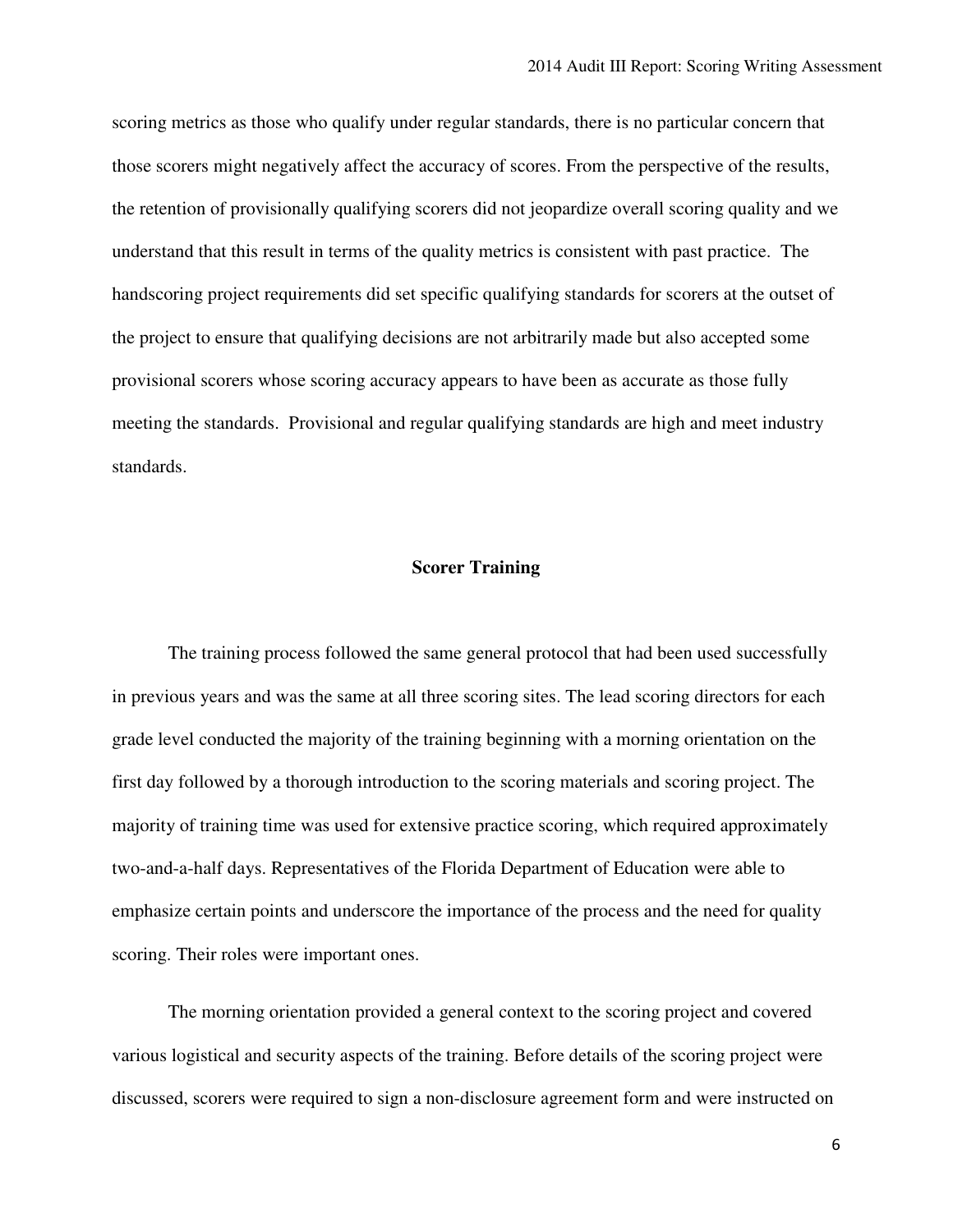scoring metrics as those who qualify under regular standards, there is no particular concern that those scorers might negatively affect the accuracy of scores. From the perspective of the results, the retention of provisionally qualifying scorers did not jeopardize overall scoring quality and we understand that this result in terms of the quality metrics is consistent with past practice. The handscoring project requirements did set specific qualifying standards for scorers at the outset of the project to ensure that qualifying decisions are not arbitrarily made but also accepted some provisional scorers whose scoring accuracy appears to have been as accurate as those fully meeting the standards. Provisional and regular qualifying standards are high and meet industry standards.

## **Scorer Training**

 The training process followed the same general protocol that had been used successfully in previous years and was the same at all three scoring sites. The lead scoring directors for each grade level conducted the majority of the training beginning with a morning orientation on the first day followed by a thorough introduction to the scoring materials and scoring project. The majority of training time was used for extensive practice scoring, which required approximately two-and-a-half days. Representatives of the Florida Department of Education were able to emphasize certain points and underscore the importance of the process and the need for quality scoring. Their roles were important ones.

 The morning orientation provided a general context to the scoring project and covered various logistical and security aspects of the training. Before details of the scoring project were discussed, scorers were required to sign a non-disclosure agreement form and were instructed on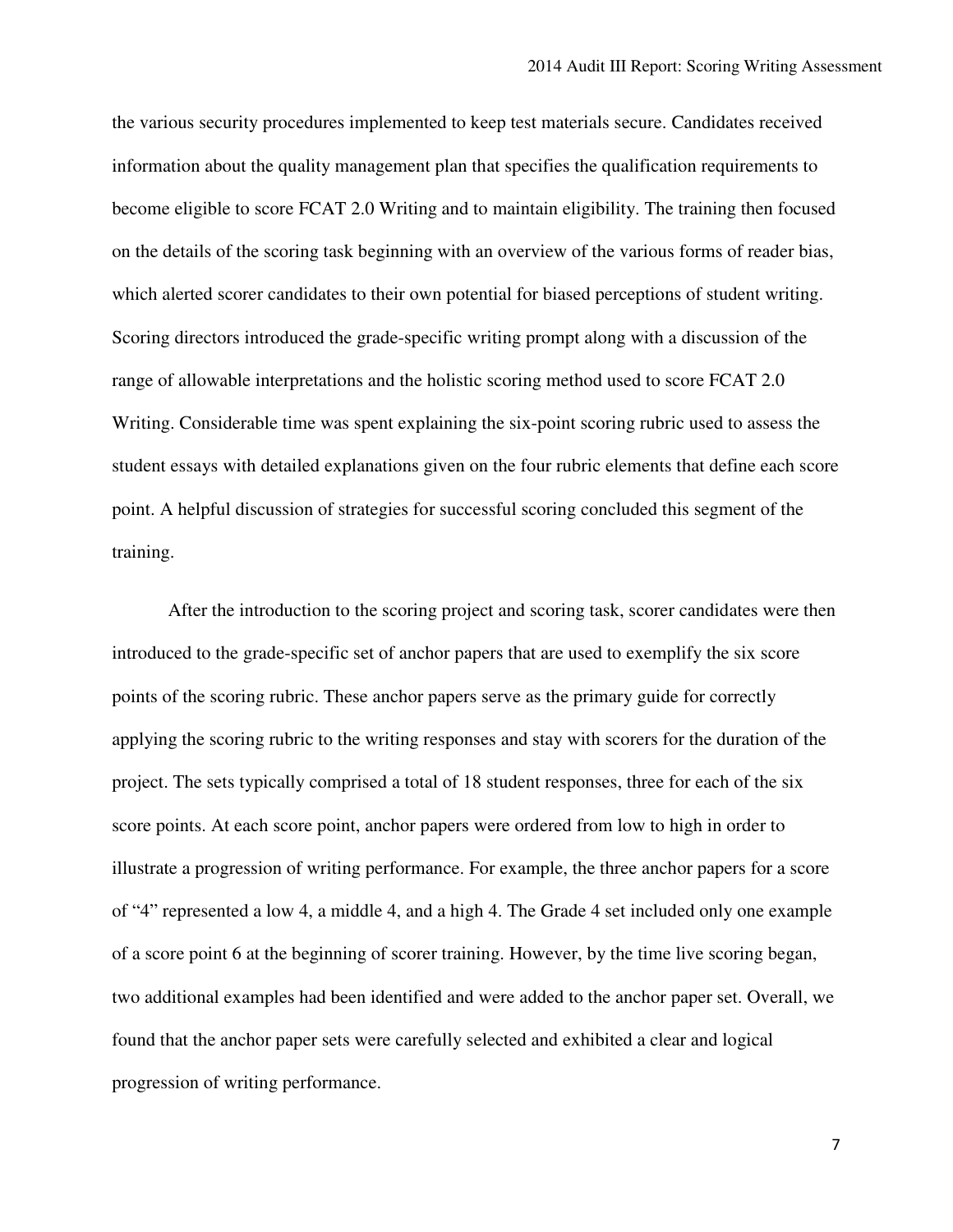the various security procedures implemented to keep test materials secure. Candidates received information about the quality management plan that specifies the qualification requirements to become eligible to score FCAT 2.0 Writing and to maintain eligibility. The training then focused on the details of the scoring task beginning with an overview of the various forms of reader bias, which alerted scorer candidates to their own potential for biased perceptions of student writing. Scoring directors introduced the grade-specific writing prompt along with a discussion of the range of allowable interpretations and the holistic scoring method used to score FCAT 2.0 Writing. Considerable time was spent explaining the six-point scoring rubric used to assess the student essays with detailed explanations given on the four rubric elements that define each score point. A helpful discussion of strategies for successful scoring concluded this segment of the training. training.<br>After the introduction to the scoring project and scoring task, scorer candidates were then

 introduced to the grade-specific set of anchor papers that are used to exemplify the six score points of the scoring rubric. These anchor papers serve as the primary guide for correctly applying the scoring rubric to the writing responses and stay with scorers for the duration of the project. The sets typically comprised a total of 18 student responses, three for each of the six score points. At each score point, anchor papers were ordered from low to high in order to illustrate a progression of writing performance. For example, the three anchor papers for a score of "4" represented a low 4, a middle 4, and a high 4. The Grade 4 set included only one example of a score point 6 at the beginning of scorer training. However, by the time live scoring began, two additional examples had been identified and were added to the anchor paper set. Overall, we found that the anchor paper sets were carefully selected and exhibited a clear and logical progression of writing performance.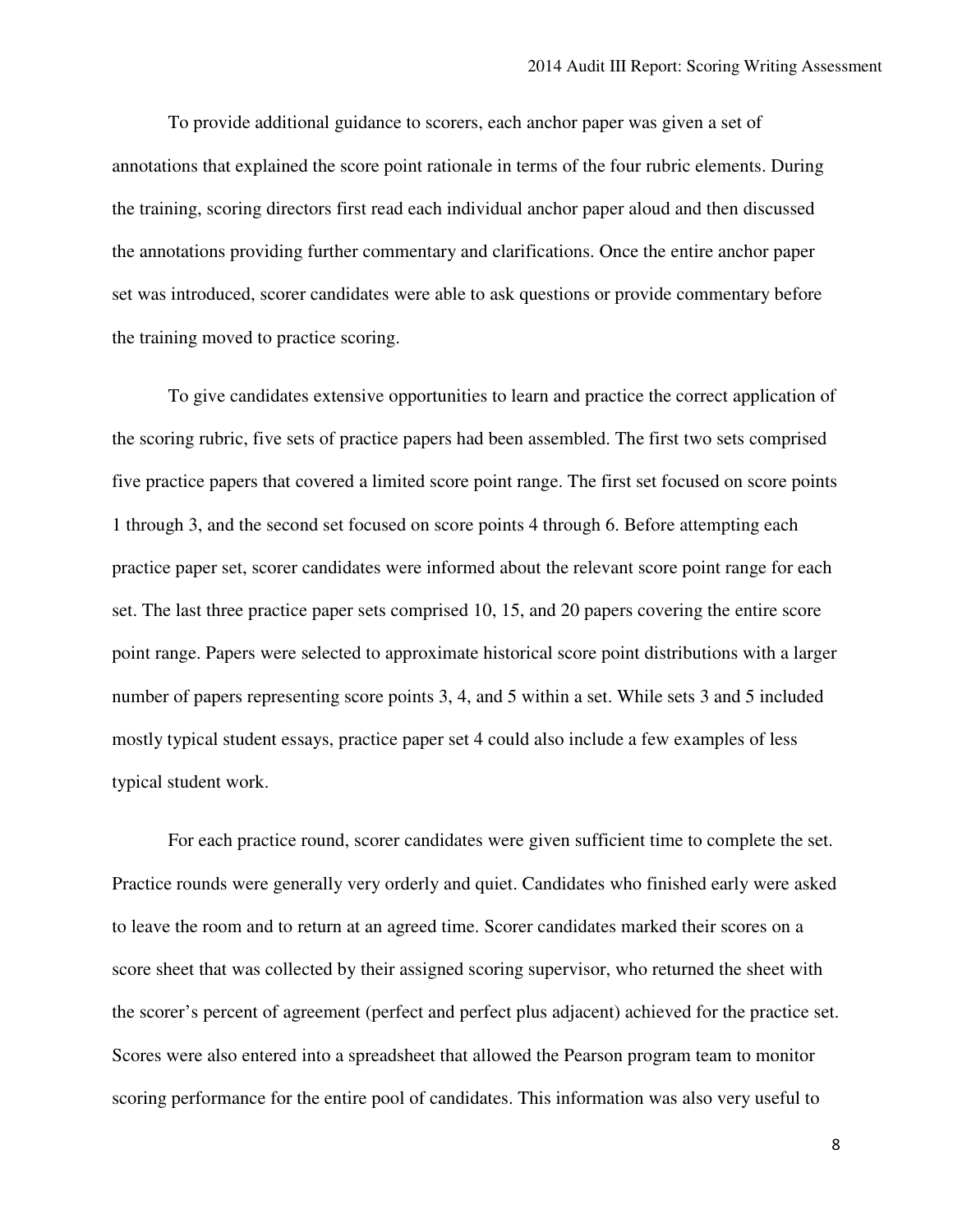To provide additional guidance to scorers, each anchor paper was given a set of annotations that explained the score point rationale in terms of the four rubric elements. During the training, scoring directors first read each individual anchor paper aloud and then discussed the annotations providing further commentary and clarifications. Once the entire anchor paper set was introduced, scorer candidates were able to ask questions or provide commentary before the training moved to practice scoring.

 To give candidates extensive opportunities to learn and practice the correct application of the scoring rubric, five sets of practice papers had been assembled. The first two sets comprised five practice papers that covered a limited score point range. The first set focused on score points 1 through 3, and the second set focused on score points 4 through 6. Before attempting each practice paper set, scorer candidates were informed about the relevant score point range for each set. The last three practice paper sets comprised 10, 15, and 20 papers covering the entire score point range. Papers were selected to approximate historical score point distributions with a larger number of papers representing score points 3, 4, and 5 within a set. While sets 3 and 5 included mostly typical student essays, practice paper set 4 could also include a few examples of less typical student work.

 For each practice round, scorer candidates were given sufficient time to complete the set. Practice rounds were generally very orderly and quiet. Candidates who finished early were asked to leave the room and to return at an agreed time. Scorer candidates marked their scores on a score sheet that was collected by their assigned scoring supervisor, who returned the sheet with the scorer's percent of agreement (perfect and perfect plus adjacent) achieved for the practice set. Scores were also entered into a spreadsheet that allowed the Pearson program team to monitor scoring performance for the entire pool of candidates. This information was also very useful to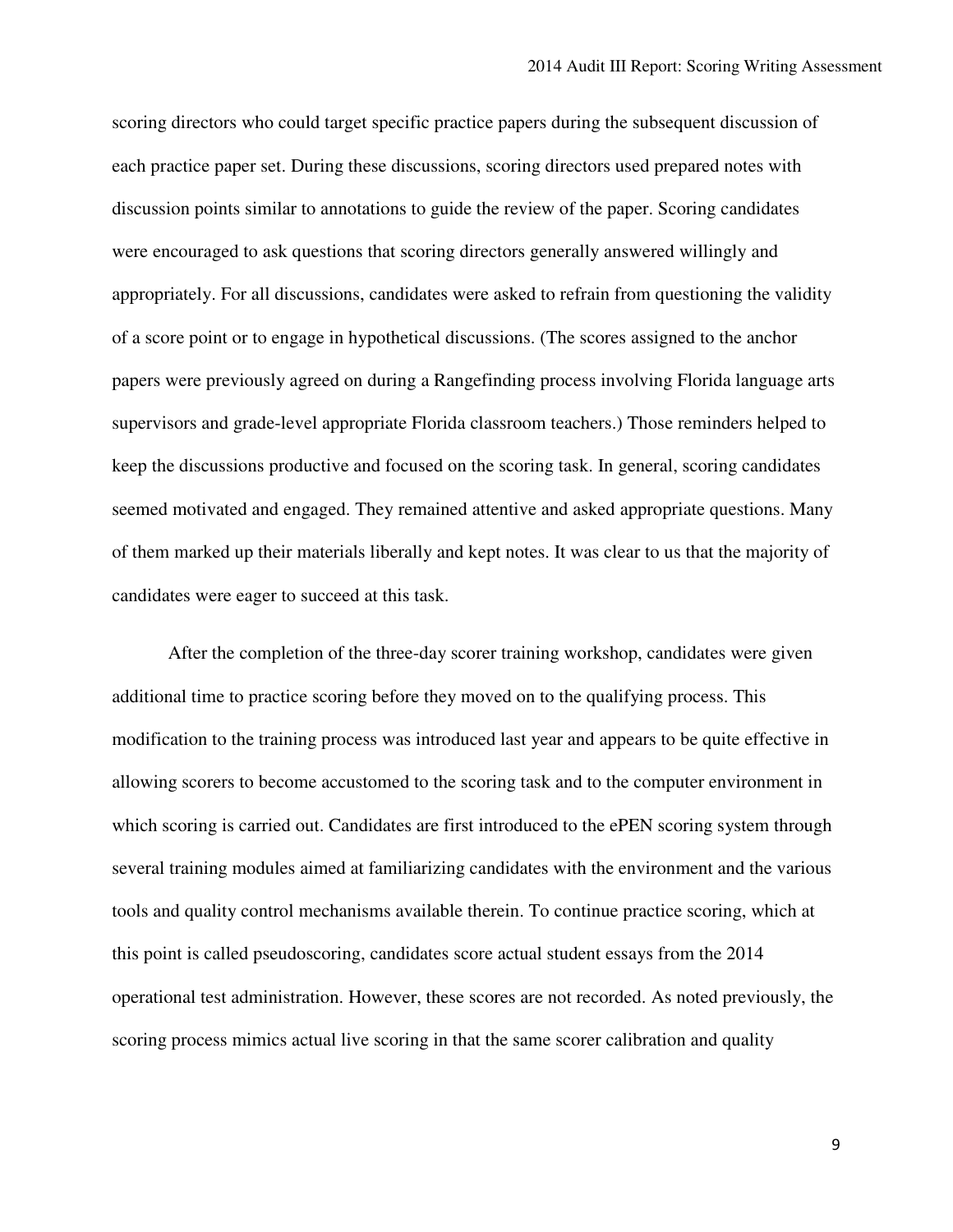scoring directors who could target specific practice papers during the subsequent discussion of each practice paper set. During these discussions, scoring directors used prepared notes with discussion points similar to annotations to guide the review of the paper. Scoring candidates were encouraged to ask questions that scoring directors generally answered willingly and appropriately. For all discussions, candidates were asked to refrain from questioning the validity of a score point or to engage in hypothetical discussions. (The scores assigned to the anchor papers were previously agreed on during a Rangefinding process involving Florida language arts supervisors and grade-level appropriate Florida classroom teachers.) Those reminders helped to keep the discussions productive and focused on the scoring task. In general, scoring candidates seemed motivated and engaged. They remained attentive and asked appropriate questions. Many of them marked up their materials liberally and kept notes. It was clear to us that the majority of candidates were eager to succeed at this task.

 After the completion of the three-day scorer training workshop, candidates were given additional time to practice scoring before they moved on to the qualifying process. This modification to the training process was introduced last year and appears to be quite effective in allowing scorers to become accustomed to the scoring task and to the computer environment in which scoring is carried out. Candidates are first introduced to the ePEN scoring system through several training modules aimed at familiarizing candidates with the environment and the various tools and quality control mechanisms available therein. To continue practice scoring, which at this point is called pseudoscoring, candidates score actual student essays from the 2014 operational test administration. However, these scores are not recorded. As noted previously, the scoring process mimics actual live scoring in that the same scorer calibration and quality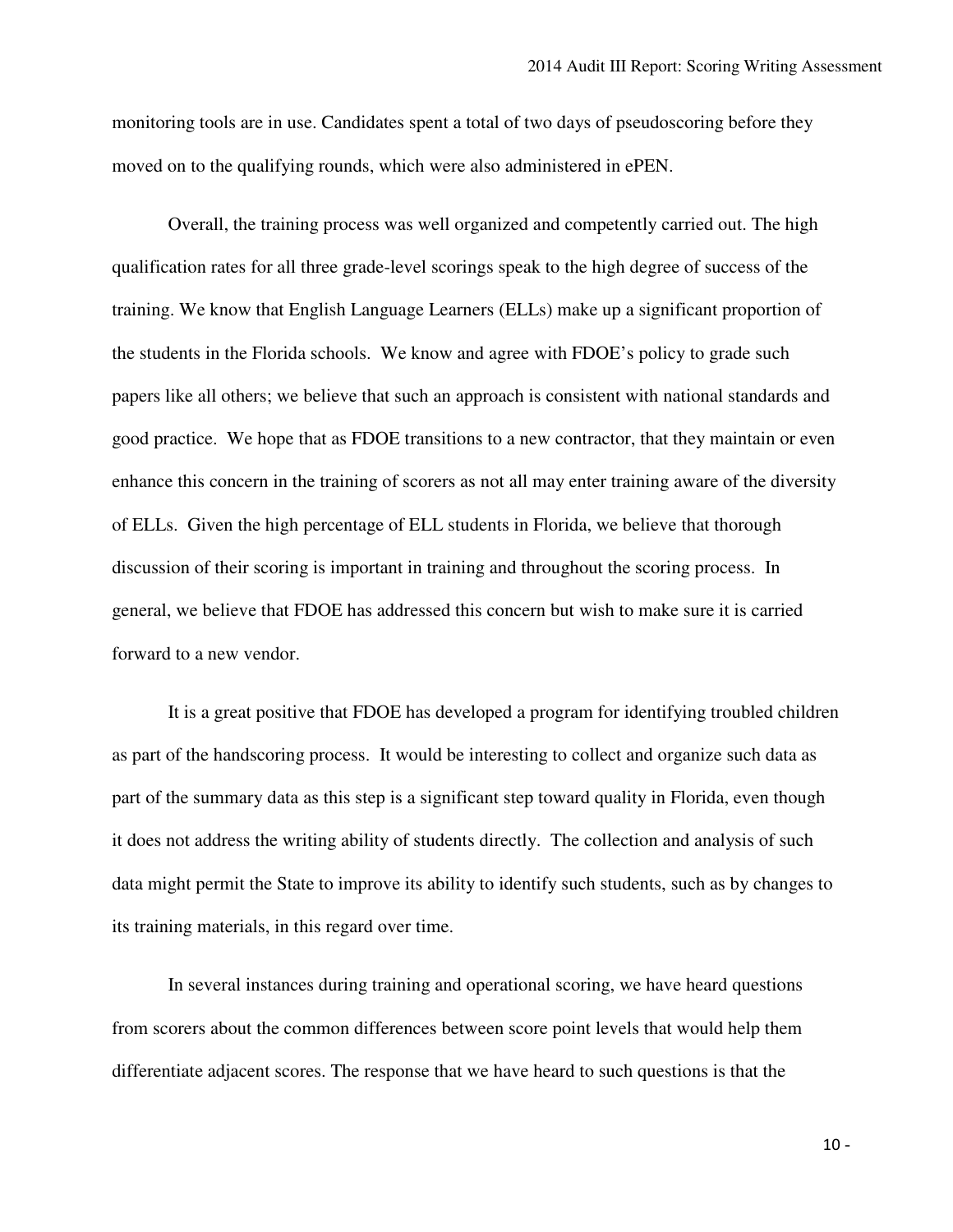monitoring tools are in use. Candidates spent a total of two days of pseudoscoring before they moved on to the qualifying rounds, which were also administered in ePEN.

 Overall, the training process was well organized and competently carried out. The high qualification rates for all three grade-level scorings speak to the high degree of success of the training. We know that English Language Learners (ELLs) make up a significant proportion of the students in the Florida schools. We know and agree with FDOE's policy to grade such papers like all others; we believe that such an approach is consistent with national standards and good practice. We hope that as FDOE transitions to a new contractor, that they maintain or even enhance this concern in the training of scorers as not all may enter training aware of the diversity of ELLs. Given the high percentage of ELL students in Florida, we believe that thorough discussion of their scoring is important in training and throughout the scoring process. In general, we believe that FDOE has addressed this concern but wish to make sure it is carried forward to a new vendor.

 It is a great positive that FDOE has developed a program for identifying troubled children as part of the handscoring process. It would be interesting to collect and organize such data as part of the summary data as this step is a significant step toward quality in Florida, even though it does not address the writing ability of students directly. The collection and analysis of such data might permit the State to improve its ability to identify such students, such as by changes to its training materials, in this regard over time.

 In several instances during training and operational scoring, we have heard questions from scorers about the common differences between score point levels that would help them differentiate adjacent scores. The response that we have heard to such questions is that the

 $10 -$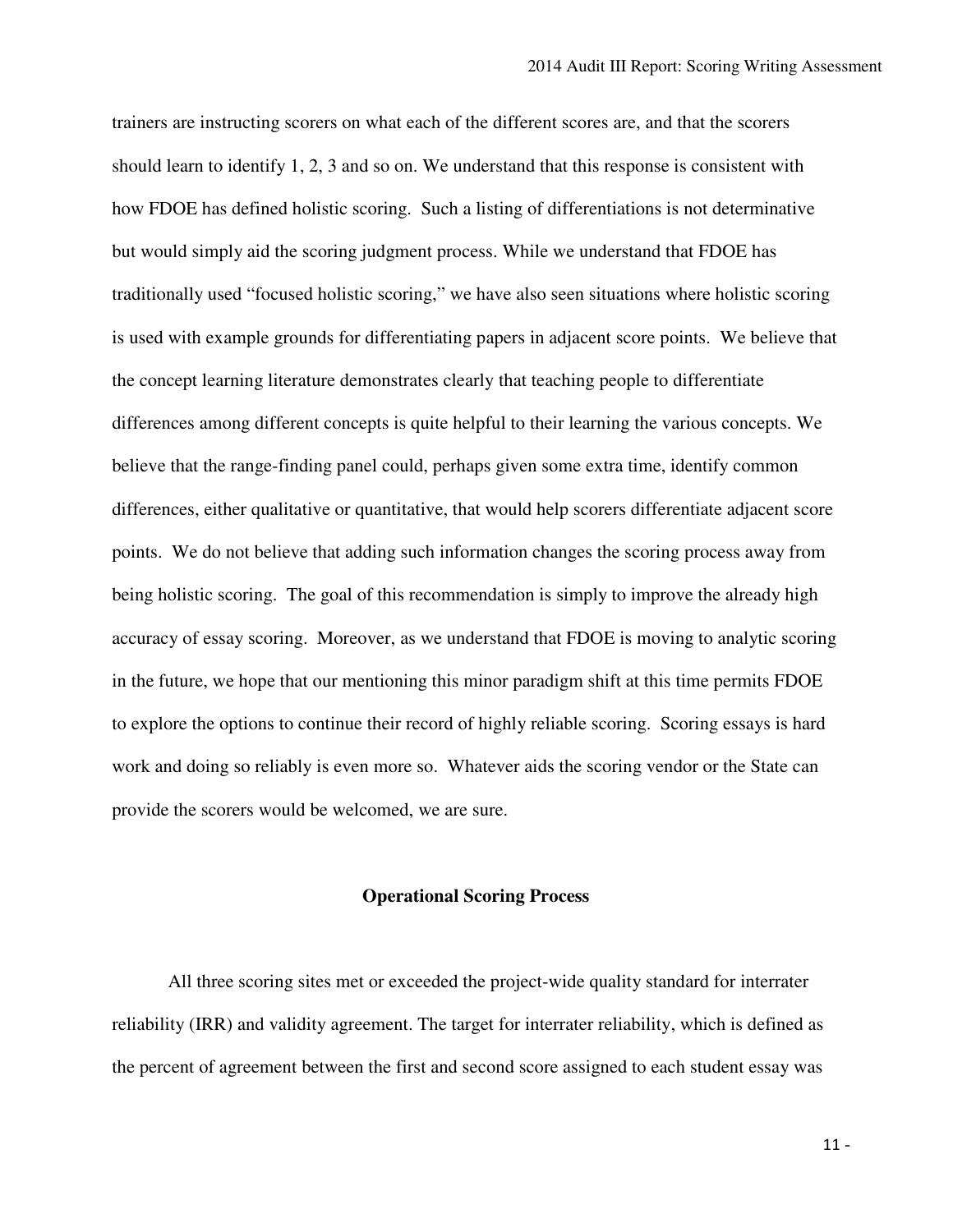trainers are instructing scorers on what each of the different scores are, and that the scorers should learn to identify 1, 2, 3 and so on. We understand that this response is consistent with how FDOE has defined holistic scoring. Such a listing of differentiations is not determinative but would simply aid the scoring judgment process. While we understand that FDOE has traditionally used "focused holistic scoring," we have also seen situations where holistic scoring is used with example grounds for differentiating papers in adjacent score points. We believe that the concept learning literature demonstrates clearly that teaching people to differentiate differences among different concepts is quite helpful to their learning the various concepts. We believe that the range-finding panel could, perhaps given some extra time, identify common differences, either qualitative or quantitative, that would help scorers differentiate adjacent score points. We do not believe that adding such information changes the scoring process away from being holistic scoring. The goal of this recommendation is simply to improve the already high accuracy of essay scoring. Moreover, as we understand that FDOE is moving to analytic scoring in the future, we hope that our mentioning this minor paradigm shift at this time permits FDOE to explore the options to continue their record of highly reliable scoring. Scoring essays is hard work and doing so reliably is even more so. Whatever aids the scoring vendor or the State can provide the scorers would be welcomed, we are sure.

### **Operational Scoring Process**

 All three scoring sites met or exceeded the project-wide quality standard for interrater reliability (IRR) and validity agreement. The target for interrater reliability, which is defined as the percent of agreement between the first and second score assigned to each student essay was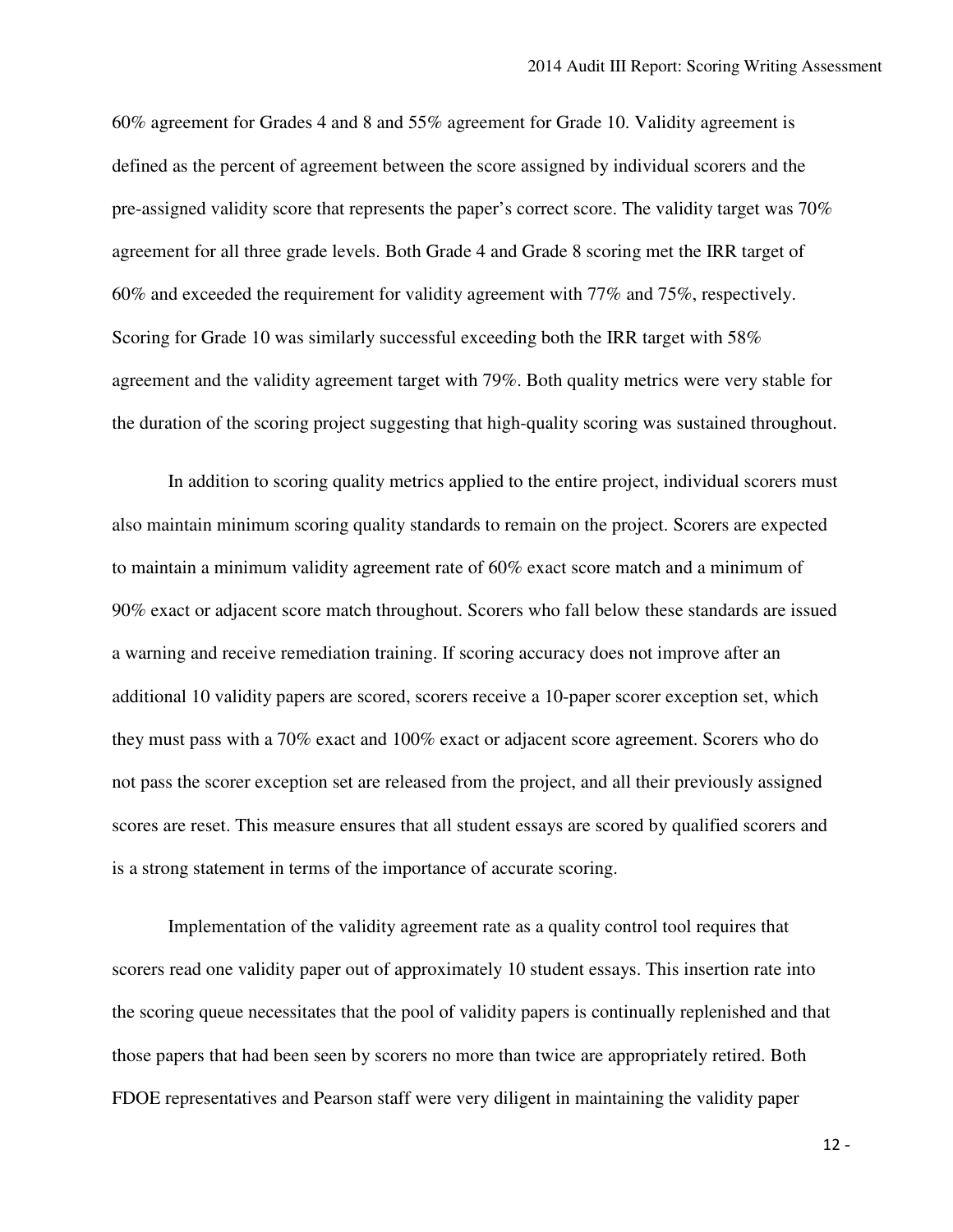60% agreement for Grades 4 and 8 and 55% agreement for Grade 10. Validity agreement is defined as the percent of agreement between the score assigned by individual scorers and the pre-assigned validity score that represents the paper's correct score. The validity target was 70% agreement for all three grade levels. Both Grade 4 and Grade 8 scoring met the IRR target of 60% and exceeded the requirement for validity agreement with 77% and 75%, respectively. Scoring for Grade 10 was similarly successful exceeding both the IRR target with 58% agreement and the validity agreement target with 79%. Both quality metrics were very stable for the duration of the scoring project suggesting that high-quality scoring was sustained throughout.

 In addition to scoring quality metrics applied to the entire project, individual scorers must also maintain minimum scoring quality standards to remain on the project. Scorers are expected to maintain a minimum validity agreement rate of 60% exact score match and a minimum of 90% exact or adjacent score match throughout. Scorers who fall below these standards are issued a warning and receive remediation training. If scoring accuracy does not improve after an additional 10 validity papers are scored, scorers receive a 10-paper scorer exception set, which they must pass with a 70% exact and 100% exact or adjacent score agreement. Scorers who do not pass the scorer exception set are released from the project, and all their previously assigned scores are reset. This measure ensures that all student essays are scored by qualified scorers and is a strong statement in terms of the importance of accurate scoring.

 Implementation of the validity agreement rate as a quality control tool requires that scorers read one validity paper out of approximately 10 student essays. This insertion rate into the scoring queue necessitates that the pool of validity papers is continually replenished and that those papers that had been seen by scorers no more than twice are appropriately retired. Both FDOE representatives and Pearson staff were very diligent in maintaining the validity paper

 $12 -$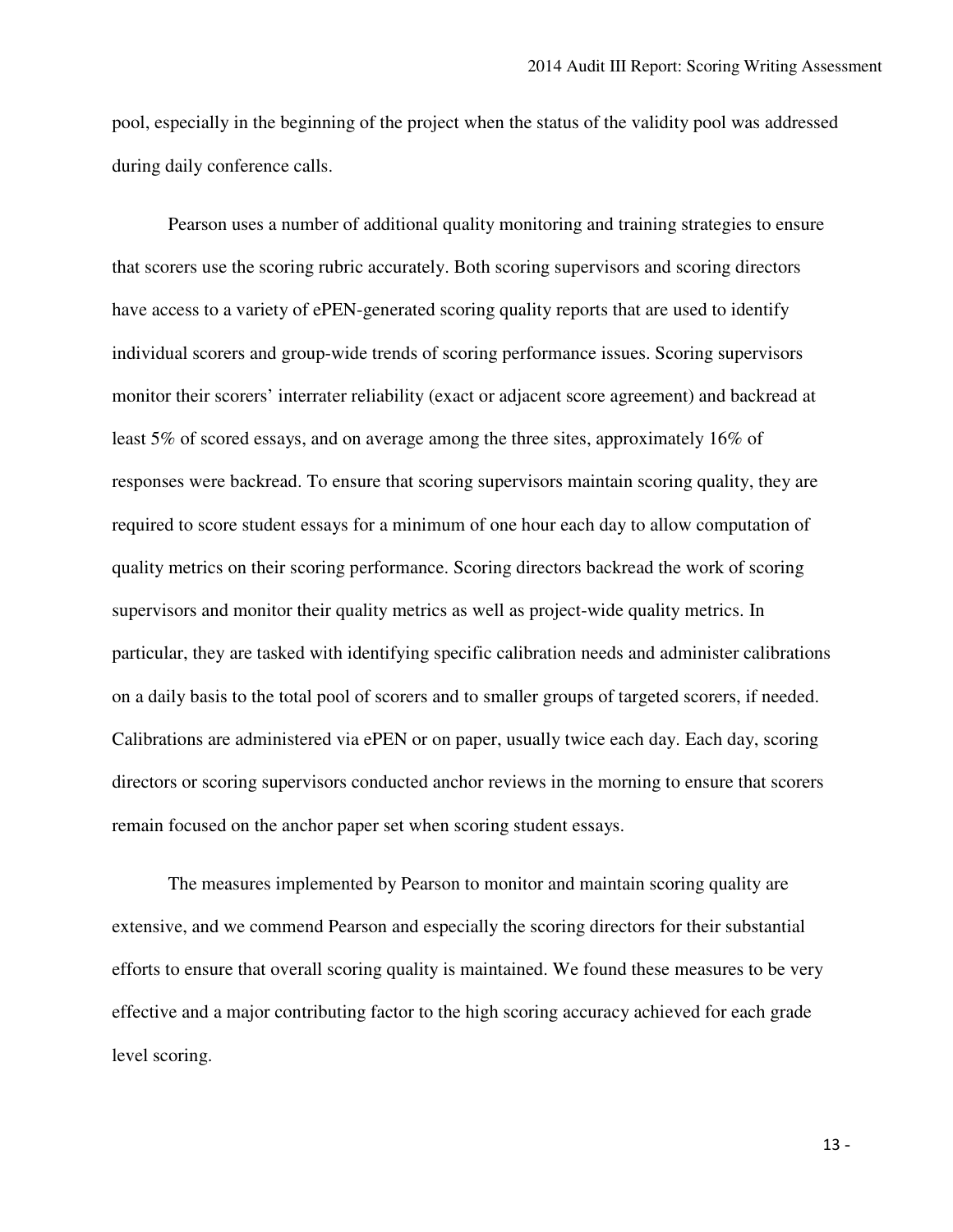pool, especially in the beginning of the project when the status of the validity pool was addressed during daily conference calls.

 Pearson uses a number of additional quality monitoring and training strategies to ensure that scorers use the scoring rubric accurately. Both scoring supervisors and scoring directors have access to a variety of ePEN-generated scoring quality reports that are used to identify individual scorers and group-wide trends of scoring performance issues. Scoring supervisors monitor their scorers' interrater reliability (exact or adjacent score agreement) and backread at least 5% of scored essays, and on average among the three sites, approximately 16% of responses were backread. To ensure that scoring supervisors maintain scoring quality, they are required to score student essays for a minimum of one hour each day to allow computation of quality metrics on their scoring performance. Scoring directors backread the work of scoring supervisors and monitor their quality metrics as well as project-wide quality metrics. In particular, they are tasked with identifying specific calibration needs and administer calibrations on a daily basis to the total pool of scorers and to smaller groups of targeted scorers, if needed. Calibrations are administered via ePEN or on paper, usually twice each day. Each day, scoring directors or scoring supervisors conducted anchor reviews in the morning to ensure that scorers remain focused on the anchor paper set when scoring student essays.

 The measures implemented by Pearson to monitor and maintain scoring quality are extensive, and we commend Pearson and especially the scoring directors for their substantial efforts to ensure that overall scoring quality is maintained. We found these measures to be very effective and a major contributing factor to the high scoring accuracy achieved for each grade level scoring.

 $13 -$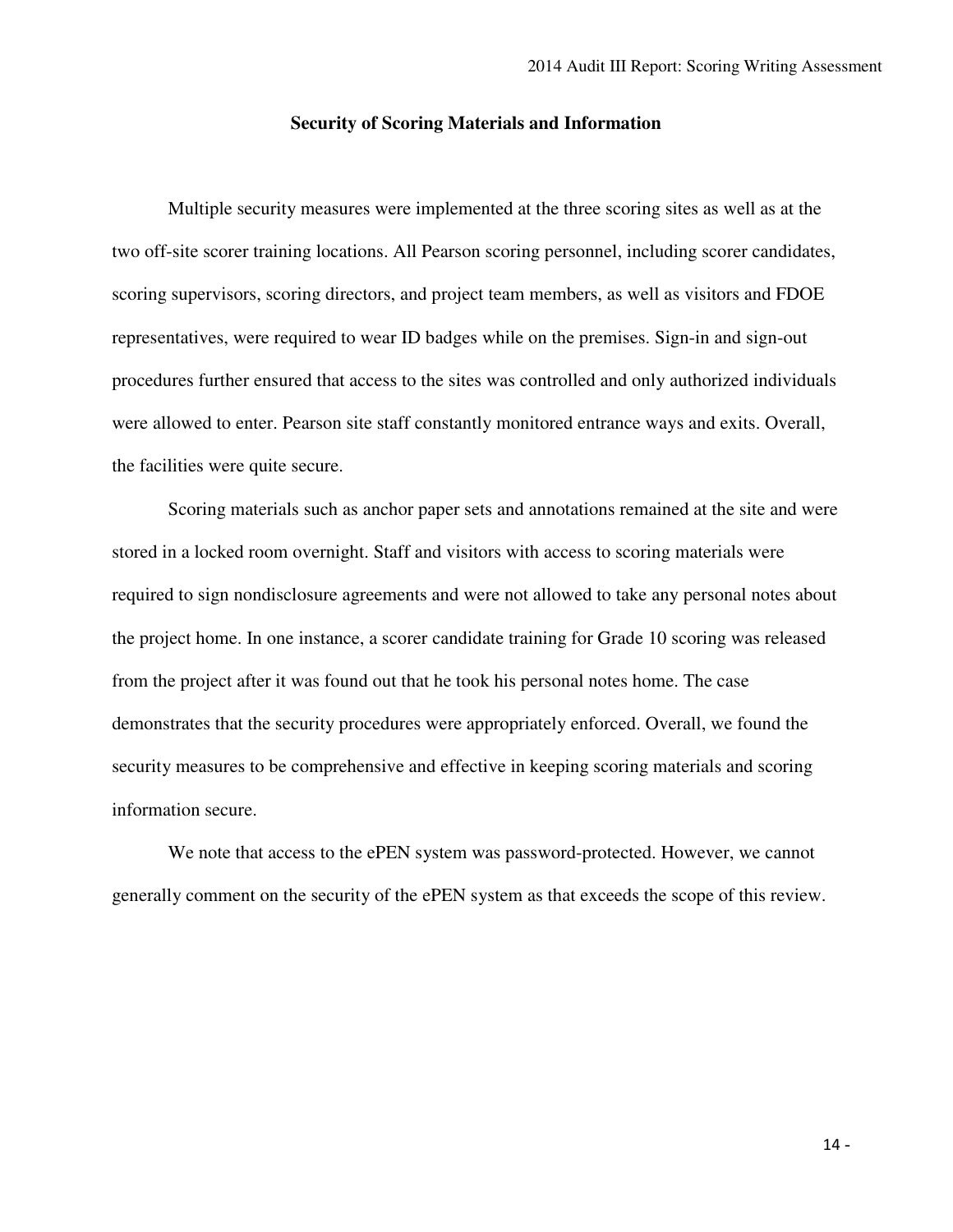## **Security of Scoring Materials and Information**

 Multiple security measures were implemented at the three scoring sites as well as at the two off-site scorer training locations. All Pearson scoring personnel, including scorer candidates, scoring supervisors, scoring directors, and project team members, as well as visitors and FDOE representatives, were required to wear ID badges while on the premises. Sign-in and sign-out procedures further ensured that access to the sites was controlled and only authorized individuals were allowed to enter. Pearson site staff constantly monitored entrance ways and exits. Overall, the facilities were quite secure.

 Scoring materials such as anchor paper sets and annotations remained at the site and were stored in a locked room overnight. Staff and visitors with access to scoring materials were required to sign nondisclosure agreements and were not allowed to take any personal notes about the project home. In one instance, a scorer candidate training for Grade 10 scoring was released from the project after it was found out that he took his personal notes home. The case demonstrates that the security procedures were appropriately enforced. Overall, we found the security measures to be comprehensive and effective in keeping scoring materials and scoring information secure.

 We note that access to the ePEN system was password-protected. However, we cannot generally comment on the security of the ePEN system as that exceeds the scope of this review.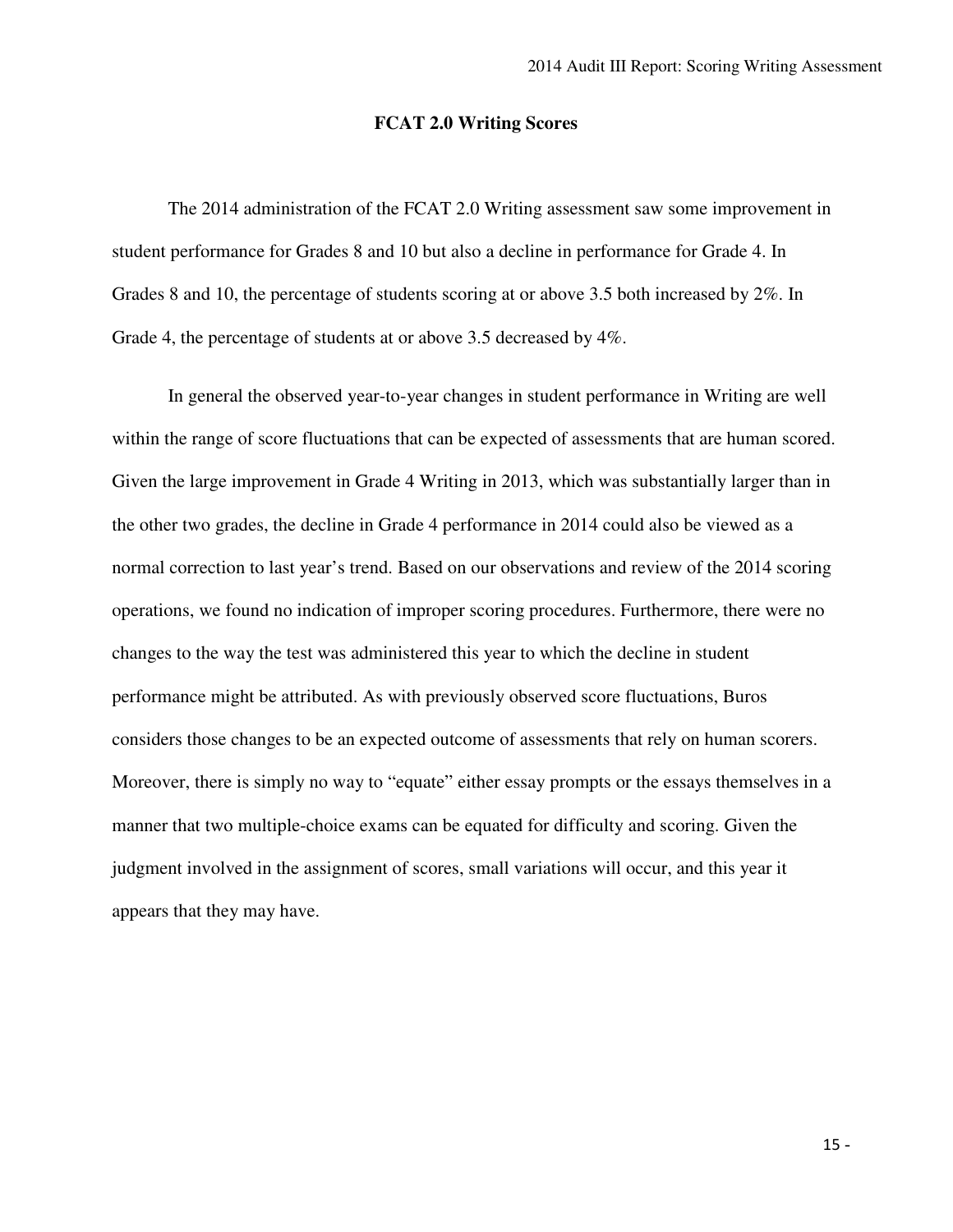### **FCAT 2.0 Writing Scores**

 The 2014 administration of the FCAT 2.0 Writing assessment saw some improvement in student performance for Grades 8 and 10 but also a decline in performance for Grade 4. In Grades 8 and 10, the percentage of students scoring at or above 3.5 both increased by 2%. In Grade 4, the percentage of students at or above 3.5 decreased by 4%.

 In general the observed year-to-year changes in student performance in Writing are well within the range of score fluctuations that can be expected of assessments that are human scored. Given the large improvement in Grade 4 Writing in 2013, which was substantially larger than in the other two grades, the decline in Grade 4 performance in 2014 could also be viewed as a normal correction to last year's trend. Based on our observations and review of the 2014 scoring operations, we found no indication of improper scoring procedures. Furthermore, there were no changes to the way the test was administered this year to which the decline in student performance might be attributed. As with previously observed score fluctuations, Buros considers those changes to be an expected outcome of assessments that rely on human scorers. Moreover, there is simply no way to "equate" either essay prompts or the essays themselves in a manner that two multiple-choice exams can be equated for difficulty and scoring. Given the judgment involved in the assignment of scores, small variations will occur, and this year it appears that they may have.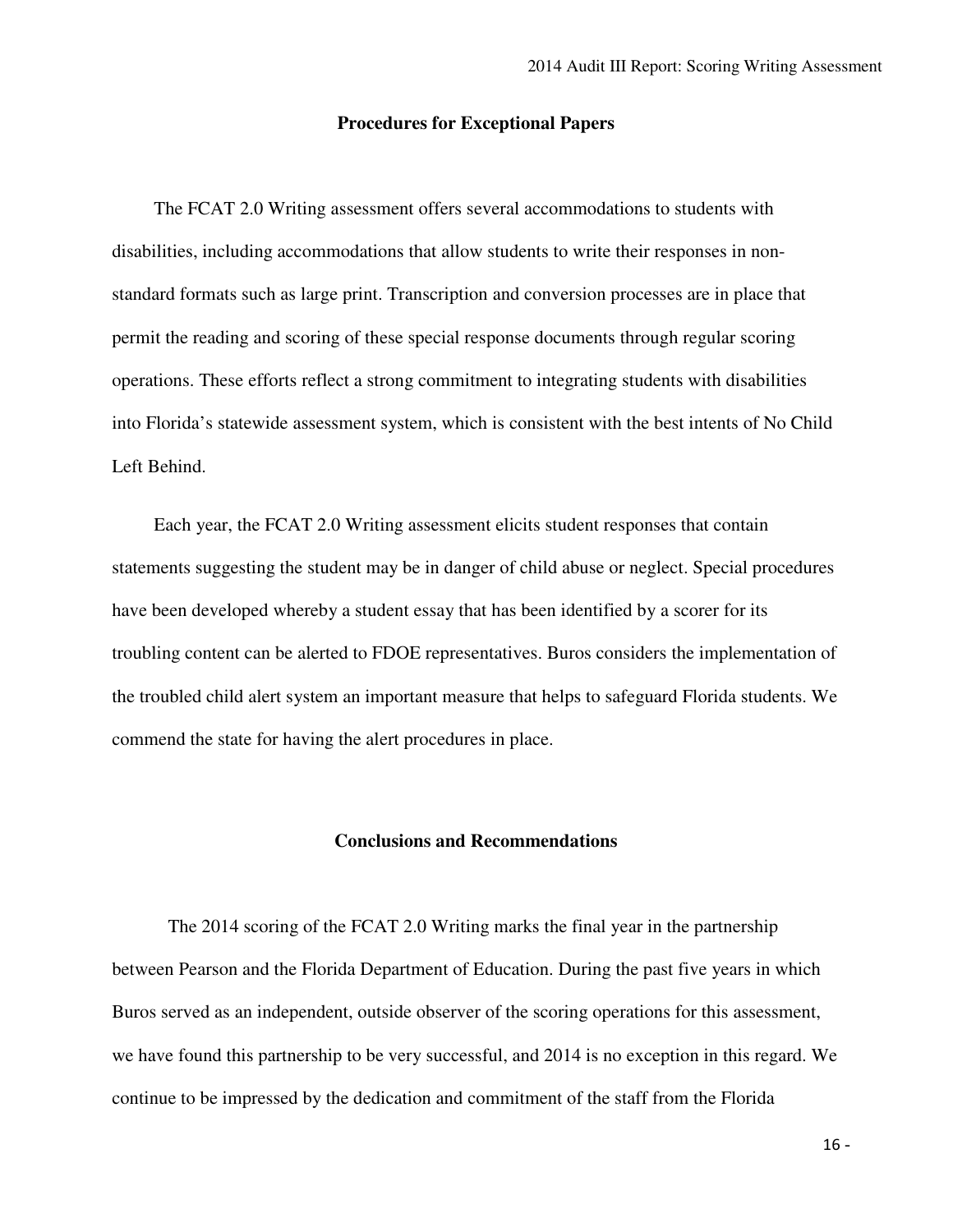### **Procedures for Exceptional Papers**

 The FCAT 2.0 Writing assessment offers several accommodations to students with disabilities, including accommodations that allow students to write their responses in non- standard formats such as large print. Transcription and conversion processes are in place that permit the reading and scoring of these special response documents through regular scoring operations. These efforts reflect a strong commitment to integrating students with disabilities into Florida's statewide assessment system, which is consistent with the best intents of No Child Left Behind.

 Each year, the FCAT 2.0 Writing assessment elicits student responses that contain statements suggesting the student may be in danger of child abuse or neglect. Special procedures have been developed whereby a student essay that has been identified by a scorer for its troubling content can be alerted to FDOE representatives. Buros considers the implementation of the troubled child alert system an important measure that helps to safeguard Florida students. We commend the state for having the alert procedures in place.

### **Conclusions and Recommendations**

 The 2014 scoring of the FCAT 2.0 Writing marks the final year in the partnership between Pearson and the Florida Department of Education. During the past five years in which Buros served as an independent, outside observer of the scoring operations for this assessment, we have found this partnership to be very successful, and 2014 is no exception in this regard. We continue to be impressed by the dedication and commitment of the staff from the Florida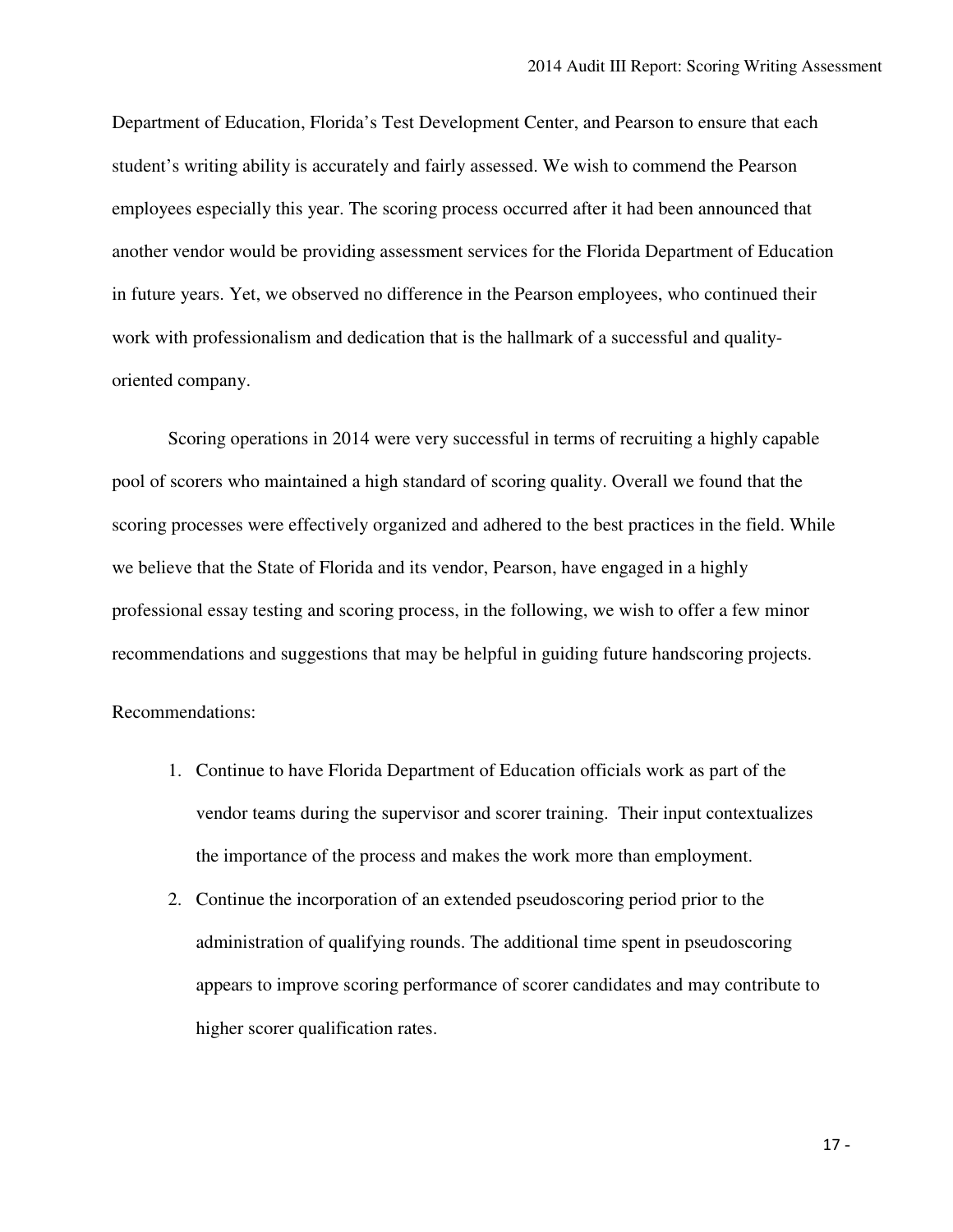Department of Education, Florida's Test Development Center, and Pearson to ensure that each student's writing ability is accurately and fairly assessed. We wish to commend the Pearson employees especially this year. The scoring process occurred after it had been announced that another vendor would be providing assessment services for the Florida Department of Education in future years. Yet, we observed no difference in the Pearson employees, who continued their work with professionalism and dedication that is the hallmark of a successful and quality-oriented company.

 Scoring operations in 2014 were very successful in terms of recruiting a highly capable pool of scorers who maintained a high standard of scoring quality. Overall we found that the scoring processes were effectively organized and adhered to the best practices in the field. While we believe that the State of Florida and its vendor, Pearson, have engaged in a highly professional essay testing and scoring process, in the following, we wish to offer a few minor recommendations and suggestions that may be helpful in guiding future handscoring projects.

Recommendations:

- 1. Continue to have Florida Department of Education officials work as part of the vendor teams during the supervisor and scorer training. Their input contextualizes the importance of the process and makes the work more than employment.
- 2. Continue the incorporation of an extended pseudoscoring period prior to the administration of qualifying rounds. The additional time spent in pseudoscoring appears to improve scoring performance of scorer candidates and may contribute to higher scorer qualification rates.